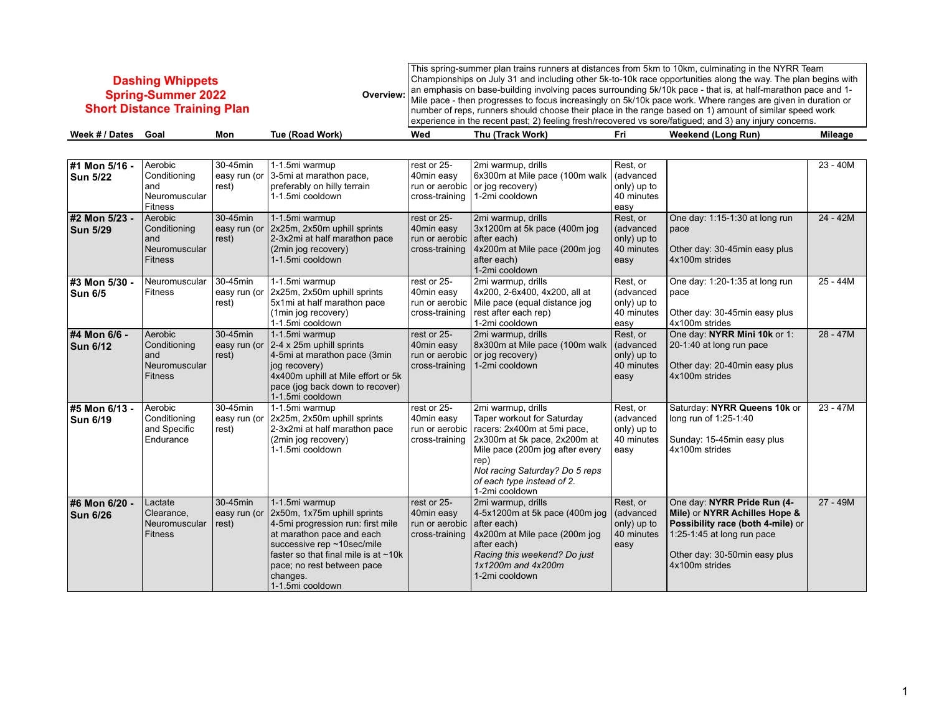## **Dashing Whippets Spring-Summer 2022 Short Distance Training Plan**

**Overview:** This spring-summer plan trains runners at distances from 5km to 10km, culminating in the NYRR Team Championships on July 31 and including other 5k-to-10k race opportunities along the way. The plan begins with an emphasis on base-building involving paces surrounding 5k/10k pace - that is, at half-marathon pace and 1- Mile pace - then progresses to focus increasingly on 5k/10k pace work. Where ranges are given in duration or number of reps, runners should choose their place in the range based on 1) amount of similar speed work experience in the recent past; 2) feeling fresh/recovered vs sore/fatigued; and 3) any injury concerns.

| Week<br>Jates | Goa. | Mon | 'Road Work<br>l uc<br>tRoad | Wed | $\cdots$<br>Work.<br>hu<br>. | нn | <br>∣ Run)<br>eekend<br>ona | <b>BACK</b><br>Mileage |
|---------------|------|-----|-----------------------------|-----|------------------------------|----|-----------------------------|------------------------|
|               |      |     |                             |     |                              |    |                             |                        |

| #1 Mon 5/16 -<br>Sun 5/22        | Aerobic<br>Conditioning<br>and<br>Neuromuscular<br>Fitness        | 30-45min<br>rest) | 1-1.5mi warmup<br>easy run (or 3-5mi at marathon pace,<br>preferably on hilly terrain<br>1-1.5mi cooldown                                                                                                                                                           | rest or 25-<br>40min easy<br>cross-training                               | 2mi warmup, drills<br>6x300m at Mile pace (100m walk<br>run or aerobic $\vert$ or jog recovery)<br>1-2mi cooldown                                                                                                                            | Rest, or<br>(advanced<br>only) up to<br>40 minutes<br>easy |                                                                                                                                                                                    | $23 - 40M$ |
|----------------------------------|-------------------------------------------------------------------|-------------------|---------------------------------------------------------------------------------------------------------------------------------------------------------------------------------------------------------------------------------------------------------------------|---------------------------------------------------------------------------|----------------------------------------------------------------------------------------------------------------------------------------------------------------------------------------------------------------------------------------------|------------------------------------------------------------|------------------------------------------------------------------------------------------------------------------------------------------------------------------------------------|------------|
| #2 Mon 5/23 -<br><b>Sun 5/29</b> | Aerobic<br>Conditioning<br>and<br>Neuromuscular<br><b>Fitness</b> | 30-45min<br>rest) | 1-1.5mi warmup<br>easy run (or $ 2x25m, 2x50m$ uphill sprints<br>2-3x2mi at half marathon pace<br>(2min jog recovery)<br>1-1.5mi cooldown                                                                                                                           | rest or 25-<br>40min easy<br>run or aerobic after each)<br>cross-training | 2mi warmup, drills<br>3x1200m at 5k pace (400m jog<br>4x200m at Mile pace (200m jog<br>after each)<br>1-2mi cooldown                                                                                                                         | Rest, or<br>(advanced<br>only) up to<br>40 minutes<br>easy | One day: 1:15-1:30 at long run<br>pace<br>Other day: 30-45min easy plus<br>4x100m strides                                                                                          | 24 - 42M   |
| #3 Mon 5/30 -<br>Sun 6/5         | Neuromuscular<br><b>Fitness</b>                                   | 30-45min<br>rest) | 1-1.5mi warmup<br>easy run (or $ 2x25m, 2x50m$ uphill sprints<br>5x1mi at half marathon pace<br>(1min jog recovery)<br>1-1.5mi cooldown                                                                                                                             | rest or 25-<br>40min easy<br>run or aerobic<br>cross-training             | 2mi warmup, drills<br>4x200, 2-6x400, 4x200, all at<br>Mile pace (equal distance jog<br>rest after each rep)<br>1-2mi cooldown                                                                                                               | Rest, or<br>(advanced<br>only) up to<br>40 minutes<br>easy | One day: 1:20-1:35 at long run<br>pace<br>Other day: 30-45min easy plus<br>4x100m strides                                                                                          | $25 - 44M$ |
| #4 Mon 6/6 -<br><b>Sun 6/12</b>  | Aerobic<br>Conditioning<br>and<br>Neuromuscular<br><b>Fitness</b> | 30-45min<br>rest) | 1-1.5mi warmup<br>easy run (or $ 2-4 \times 25$ m uphill sprints<br>4-5mi at marathon pace (3min<br>jog recovery)<br>4x400m uphill at Mile effort or 5k<br>pace (jog back down to recover)<br>1-1.5mi cooldown                                                      | rest or 25-<br>40min easy<br>cross-training                               | 2mi warmup, drills<br>8x300m at Mile pace (100m walk<br>run or aerobic $\vert$ or jog recovery)<br>1-2mi cooldown                                                                                                                            | Rest, or<br>(advanced<br>only) up to<br>40 minutes<br>easy | One day: NYRR Mini 10k or 1:<br>20-1:40 at long run pace<br>Other day: 20-40min easy plus<br>4x100m strides                                                                        | $28 - 47M$ |
| #5 Mon 6/13 -<br>Sun 6/19        | Aerobic<br>Conditioning<br>and Specific<br>Endurance              | 30-45min<br>rest) | 1-1.5mi warmup<br>easy run (or $ 2x25m, 2x50m$ uphill sprints<br>2-3x2mi at half marathon pace<br>(2min jog recovery)<br>1-1.5mi cooldown                                                                                                                           | rest or 25-<br>40min easy<br>run or aerobic<br>cross-training             | 2mi warmup, drills<br>Taper workout for Saturday<br>racers: 2x400m at 5mi pace,<br>2x300m at 5k pace, 2x200m at<br>Mile pace (200m jog after every<br>rep)<br>Not racing Saturday? Do 5 reps<br>of each type instead of 2.<br>1-2mi cooldown | Rest, or<br>(advanced<br>only) up to<br>40 minutes<br>easy | Saturday: NYRR Queens 10k or<br>long run of 1:25-1:40<br>Sunday: 15-45min easy plus<br>4x100m strides                                                                              | $23 - 47M$ |
| #6 Mon 6/20 -<br><b>Sun 6/26</b> | Lactate<br>Clearance,<br>Neuromuscular<br><b>Fitness</b>          | 30-45min<br>rest) | 1-1.5mi warmup<br>easy run (or $ 2x50m, 1x75m$ uphill sprints<br>4-5mi progression run: first mile<br>at marathon pace and each<br>successive rep ~10sec/mile<br>faster so that final mile is at ~10k<br>pace; no rest between pace<br>changes.<br>1-1.5mi cooldown | rest or 25-<br>40min easy<br>run or aerobic<br>cross-training             | 2mi warmup, drills<br>4-5x1200m at 5k pace (400m jog<br>after each)<br>4x200m at Mile pace (200m jog<br>after each)<br>Racing this weekend? Do just<br>1x1200m and 4x200m<br>1-2mi cooldown                                                  | Rest, or<br>(advanced<br>only) up to<br>40 minutes<br>easy | One day: NYRR Pride Run (4-<br>Mile) or NYRR Achilles Hope &<br>Possibility race (both 4-mile) or<br>1:25-1:45 at long run pace<br>Other day: 30-50min easy plus<br>4x100m strides | $27 - 49M$ |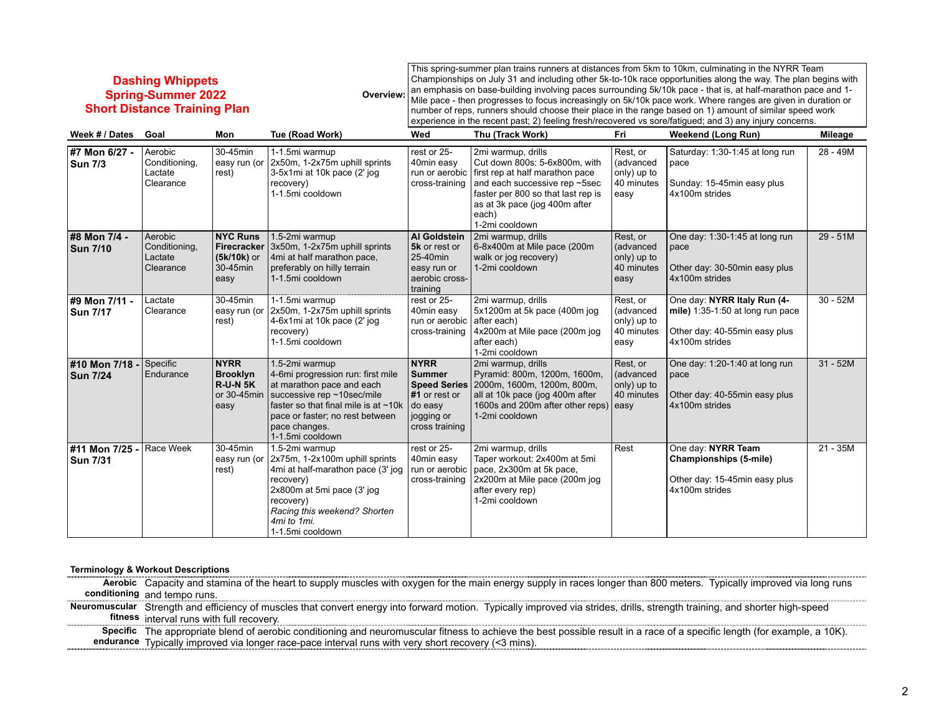## **Dashing Whippets Spring-Summer 2022 Short Distance Training Plan**

**Overview:** This spring-summer plan trains runners at distances from 5km to 10km, culminating in the NYRR Team Championships on July 31 and including other 5k-to-10k race opportunities along the way. The plan begins with an emphasis on base-building involving paces surrounding 5k/10k pace - that is, at half-marathon pace and 1- Mile pace - then progresses to focus increasingly on 5k/10k pace work. Where ranges are given in duration or number of reps, runners should choose their place in the range based on 1) amount of similar speed work experience in the recent past; 2) feeling fresh/recovered vs sore/fatigued; and 3) any injury concerns.

| Week # / Dates                    | Goal                                             | Mon                                                               | Tue (Road Work)                                                                                                                                                                                                                  | Wed                                                                                                        | Thu (Track Work)                                                                                                                                                                                                                         | Fri                                                        | <b>Weekend (Long Run)</b>                                                                                          | Mileage    |
|-----------------------------------|--------------------------------------------------|-------------------------------------------------------------------|----------------------------------------------------------------------------------------------------------------------------------------------------------------------------------------------------------------------------------|------------------------------------------------------------------------------------------------------------|------------------------------------------------------------------------------------------------------------------------------------------------------------------------------------------------------------------------------------------|------------------------------------------------------------|--------------------------------------------------------------------------------------------------------------------|------------|
| #7 Mon 6/27 -<br>Sun 7/3          | Aerobic<br>Conditioning,<br>Lactate<br>Clearance | 30-45min<br>rest)                                                 | 1-1.5mi warmup<br>easy run (or 2x50m, 1-2x75m uphill sprints<br>3-5x1mi at 10k pace (2' jog<br>recovery)<br>1-1.5mi cooldown                                                                                                     | rest or 25-<br>40min easy<br>cross-training                                                                | 2mi warmup, drills<br>Cut down 800s: 5-6x800m, with<br>run or aerobic first rep at half marathon pace<br>and each successive rep ~5sec<br>faster per 800 so that last rep is<br>as at 3k pace (jog 400m after<br>each)<br>1-2mi cooldown | Rest, or<br>(advanced<br>only) up to<br>40 minutes<br>easy | Saturday: 1:30-1:45 at long run<br>pace<br>Sunday: 15-45min easy plus<br>4x100m strides                            | $28 - 49M$ |
| #8 Mon 7/4 -<br><b>Sun 7/10</b>   | Aerobic<br>Conditioning,<br>Lactate<br>Clearance | <b>NYC Runs</b><br>(5k/10k) or<br>30-45min<br>easy                | 1.5-2mi warmup<br>Firecracker 3x50m, 1-2x75m uphill sprints<br>4mi at half marathon pace,<br>preferably on hilly terrain<br>1-1.5mi cooldown                                                                                     | <b>Al Goldstein</b><br>5k or rest or<br>25-40min<br>easy run or<br>aerobic cross-<br>training              | 2mi warmup, drills<br>6-8x400m at Mile pace (200m<br>walk or jog recovery)<br>1-2mi cooldown                                                                                                                                             | Rest, or<br>(advanced<br>only) up to<br>40 minutes<br>easy | One day: 1:30-1:45 at long run<br>pace<br>Other day: 30-50min easy plus<br>4x100m strides                          | $29 - 51M$ |
| #9 Mon 7/11 -<br><b>Sun 7/17</b>  | Lactate<br>Clearance                             | 30-45min<br>easy run (or<br>rest)                                 | 1-1.5mi warmup<br>2x50m, 1-2x75m uphill sprints<br>4-6x1mi at 10k pace (2' jog<br>recovery)<br>1-1.5mi cooldown                                                                                                                  | rest or 25-<br>40min easy<br>run or aerobic<br>cross-training                                              | 2mi warmup, drills<br>5x1200m at 5k pace (400m jog<br>after each)<br>4x200m at Mile pace (200m jog<br>after each)<br>1-2mi cooldown                                                                                                      | Rest, or<br>(advanced<br>only) up to<br>40 minutes<br>easy | One day: NYRR Italy Run (4-<br>mile) 1:35-1:50 at long run pace<br>Other day: 40-55min easy plus<br>4x100m strides | $30 - 52M$ |
| #10 Mon 7/18 -<br><b>Sun 7/24</b> | Specific<br>Endurance                            | <b>NYRR</b><br><b>Brooklyn</b><br>R-U-N 5K<br>or 30-45min<br>easy | 1.5-2mi warmup<br>4-6mi progression run: first mile<br>at marathon pace and each<br>successive rep ~10sec/mile<br>faster so that final mile is at $~10k$<br>pace or faster; no rest between<br>pace changes.<br>1-1.5mi cooldown | <b>NYRR</b><br><b>Summer</b><br>Speed Series<br>#1 or rest or<br>do easy<br>  jogging or<br>cross training | 2mi warmup, drills<br>Pyramid: 800m, 1200m, 1600m,<br>2000m, 1600m, 1200m, 800m,<br>all at 10k pace (jog 400m after<br>1600s and 200m after other reps) easy<br>1-2mi cooldown                                                           | Rest, or<br>(advanced<br>only) up to<br>40 minutes         | One day: 1:20-1:40 at long run<br>pace<br>Other day: 40-55min easy plus<br>4x100m strides                          | $31 - 52M$ |
| #11 Mon 7/25 -<br><b>Sun 7/31</b> | Race Week                                        | 30-45min<br>easy run (or<br>rest)                                 | 1.5-2mi warmup<br>2x75m, 1-2x100m uphill sprints<br>4mi at half-marathon pace (3' jog<br>recovery)<br>2x800m at 5mi pace (3' jog<br>recovery)<br>Racing this weekend? Shorten<br>4mi to 1mi.<br>1-1.5mi cooldown                 | rest or 25-<br>40min easy<br>run or aerobic<br>cross-training                                              | 2mi warmup, drills<br>Taper workout: 2x400m at 5mi<br>pace, 2x300m at 5k pace,<br>2x200m at Mile pace (200m jog<br>after every rep)<br>1-2mi cooldown                                                                                    | Rest                                                       | One day: NYRR Team<br>Championships (5-mile)<br>Other day: 15-45min easy plus<br>4x100m strides                    | $21 - 35M$ |

## **Terminology & Workout Descriptions**

**Aerobic**  Capacity and stamina of the heart to supply muscles with oxygen for the main energy supply in races longer than 800 meters. Typically improved via long runs **conditioning** and tempo runs.

**Neuromuscular**  Strength and efficiency of muscles that convert energy into forward motion. Typically improved via strides, drills, strength training, and shorter high-speed **fitness** interval runs with full recovery.

**Specific**  The appropriate blend of aerobic conditioning and neuromuscular fitness to achieve the best possible result in a race of a specific length (for example, a 10K). **endurance** Typically improved via longer race-pace interval runs with very short recovery (<3 mins).